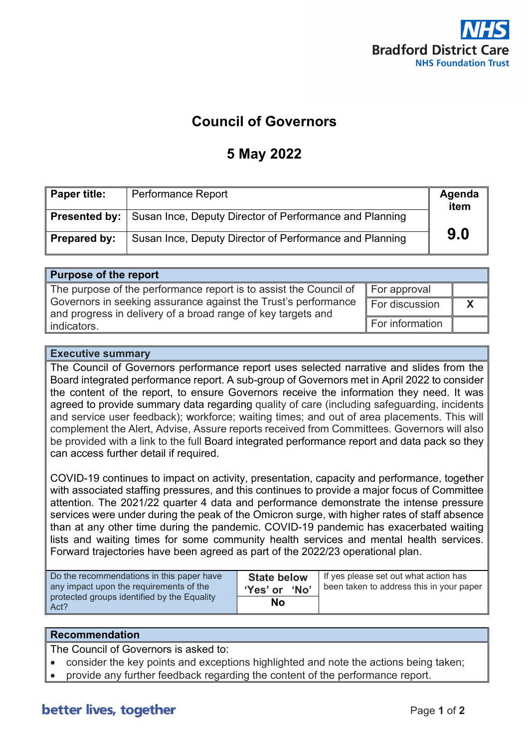

#### **Council of Governors**

#### **5 May 2022**

| Paper title: | <b>Performance Report</b>                                                    | Agenda<br>item |
|--------------|------------------------------------------------------------------------------|----------------|
|              | <b>Presented by:</b> Susan Ince, Deputy Director of Performance and Planning |                |
| Prepared by: | Susan Ince, Deputy Director of Performance and Planning                      | 9.0            |

| <b>Purpose of the report</b>                                                                                                   |                 |  |  |  |  |  |
|--------------------------------------------------------------------------------------------------------------------------------|-----------------|--|--|--|--|--|
| The purpose of the performance report is to assist the Council of                                                              | For approval    |  |  |  |  |  |
| Governors in seeking assurance against the Trust's performance<br>and progress in delivery of a broad range of key targets and | For discussion  |  |  |  |  |  |
| indicators.                                                                                                                    | For information |  |  |  |  |  |

#### **Executive summary**

The Council of Governors performance report uses selected narrative and slides from the Board integrated performance report. A sub-group of Governors met in April 2022 to consider the content of the report, to ensure Governors receive the information they need. It was agreed to provide summary data regarding quality of care (including safeguarding, incidents and service user feedback); workforce; waiting times; and out of area placements. This will complement the Alert, Advise, Assure reports received from Committees. Governors will also be provided with a link to the full Board integrated performance report and data pack so they can access further detail if required.

COVID-19 continues to impact on activity, presentation, capacity and performance, together with associated staffing pressures, and this continues to provide a major focus of Committee attention. The 2021/22 quarter 4 data and performance demonstrate the intense pressure services were under during the peak of the Omicron surge, with higher rates of staff absence than at any other time during the pandemic. COVID-19 pandemic has exacerbated waiting lists and waiting times for some community health services and mental health services. Forward trajectories have been agreed as part of the 2022/23 operational plan.

| Do the recommendations in this paper have<br>any impact upon the requirements of the | <b>State below</b><br>'Yes' or<br>'No' | If yes please set out what action has<br>been taken to address this in your paper |
|--------------------------------------------------------------------------------------|----------------------------------------|-----------------------------------------------------------------------------------|
| protected groups identified by the Equality<br>Act?                                  | <b>No</b>                              |                                                                                   |

#### **Recommendation**

The Council of Governors is asked to:

- consider the key points and exceptions highlighted and note the actions being taken;
- provide any further feedback regarding the content of the performance report.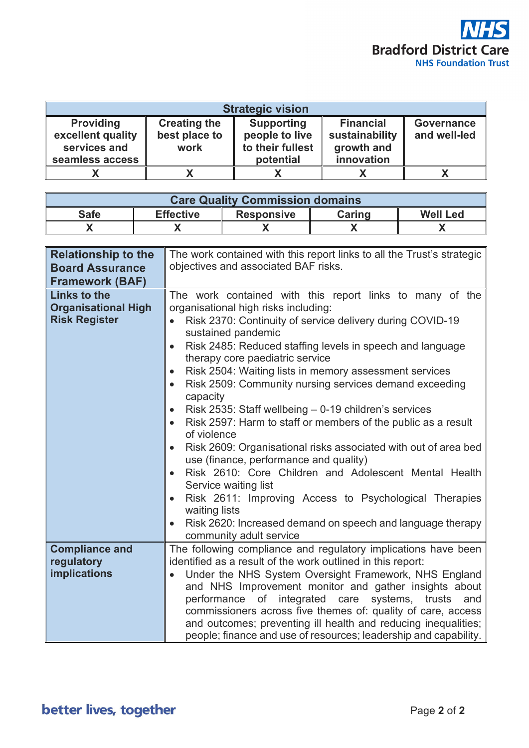

| <b>Strategic vision</b> |                     |                   |                  |              |  |  |  |  |
|-------------------------|---------------------|-------------------|------------------|--------------|--|--|--|--|
| <b>Providing</b>        | <b>Creating the</b> | <b>Supporting</b> | <b>Financial</b> | Governance   |  |  |  |  |
| excellent quality       | best place to       | people to live    | sustainability   | and well-led |  |  |  |  |
| services and            | work                | to their fullest  | growth and       |              |  |  |  |  |
| seamless access         |                     | potential         | innovation       |              |  |  |  |  |
|                         |                     |                   |                  |              |  |  |  |  |

| <b>Care Quality Commission domains</b>                                                   |  |  |  |  |  |  |  |
|------------------------------------------------------------------------------------------|--|--|--|--|--|--|--|
| <b>Effective</b><br><b>Safe</b><br><b>Well Led</b><br><b>Caring</b><br><b>Responsive</b> |  |  |  |  |  |  |  |
|                                                                                          |  |  |  |  |  |  |  |

| <b>Relationship to the</b><br><b>Board Assurance</b><br><b>Framework (BAF)</b> | The work contained with this report links to all the Trust's strategic<br>objectives and associated BAF risks.                                                                                                                                                                                                                                                                                                                                                                                                                                                                                                                                                                                                                                                                                                                                                                                                                              |
|--------------------------------------------------------------------------------|---------------------------------------------------------------------------------------------------------------------------------------------------------------------------------------------------------------------------------------------------------------------------------------------------------------------------------------------------------------------------------------------------------------------------------------------------------------------------------------------------------------------------------------------------------------------------------------------------------------------------------------------------------------------------------------------------------------------------------------------------------------------------------------------------------------------------------------------------------------------------------------------------------------------------------------------|
| <b>Links to the</b><br><b>Organisational High</b><br><b>Risk Register</b>      | The work contained with this report links to many of the<br>organisational high risks including:<br>Risk 2370: Continuity of service delivery during COVID-19<br>sustained pandemic<br>Risk 2485: Reduced staffing levels in speech and language<br>therapy core paediatric service<br>Risk 2504: Waiting lists in memory assessment services<br>Risk 2509: Community nursing services demand exceeding<br>capacity<br>Risk 2535: Staff wellbeing - 0-19 children's services<br>$\bullet$<br>Risk 2597: Harm to staff or members of the public as a result<br>of violence<br>Risk 2609: Organisational risks associated with out of area bed<br>use (finance, performance and quality)<br>Risk 2610: Core Children and Adolescent Mental Health<br>Service waiting list<br>Risk 2611: Improving Access to Psychological Therapies<br>waiting lists<br>Risk 2620: Increased demand on speech and language therapy<br>community adult service |
| <b>Compliance and</b><br>regulatory<br>implications                            | The following compliance and regulatory implications have been<br>identified as a result of the work outlined in this report:<br>Under the NHS System Oversight Framework, NHS England<br>and NHS Improvement monitor and gather insights about<br>integrated<br>of<br>care systems,<br>trusts<br>performance<br>and<br>commissioners across five themes of: quality of care, access<br>and outcomes; preventing ill health and reducing inequalities;<br>people; finance and use of resources; leadership and capability.                                                                                                                                                                                                                                                                                                                                                                                                                  |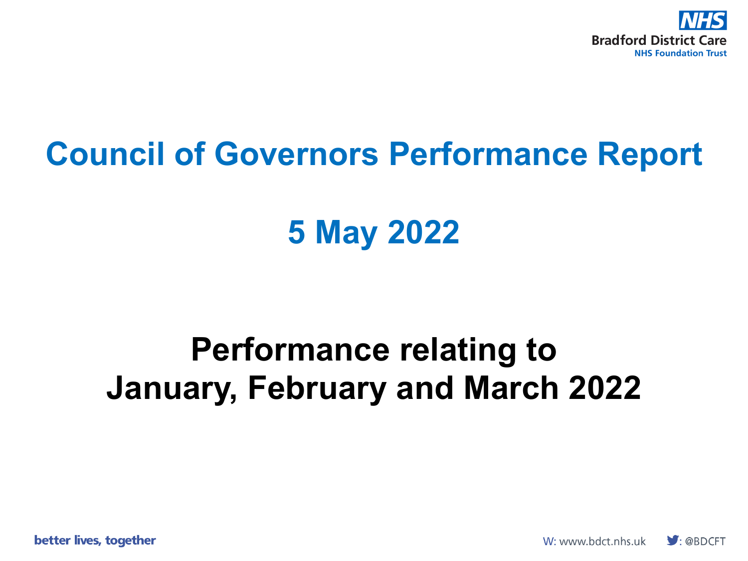

# **Council of Governors Performance Report**

# **5 May 2022**

# **Performance relating to January, February and March 2022**

better lives, together

W: www.bdct.nhs.uk  $\bigtriangledown$ : @BDCFT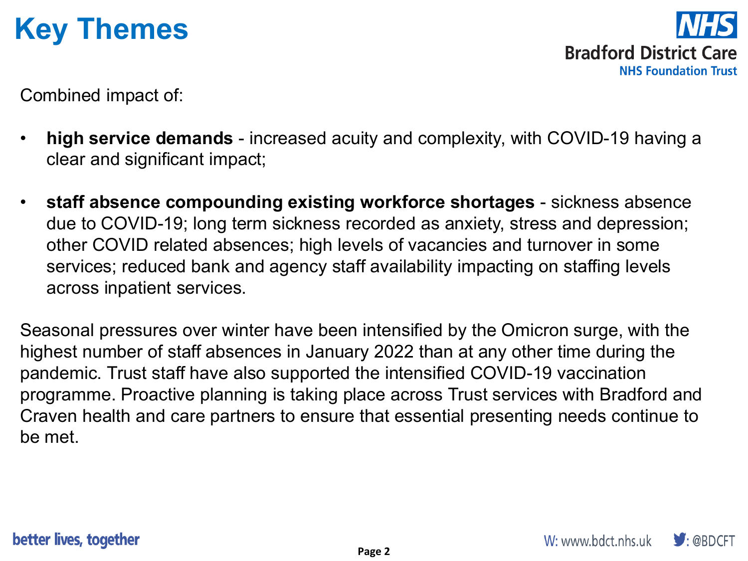## **Key Themes**

**Bradford District Care NHS Foundation Trust** 

Combined impact of:

- **high service demands**  increased acuity and complexity, with COVID-19 having a clear and significant impact;
- **staff absence compounding existing workforce shortages**  sickness absence due to COVID-19; long term sickness recorded as anxiety, stress and depression; other COVID related absences; high levels of vacancies and turnover in some services; reduced bank and agency staff availability impacting on staffing levels across inpatient services.

Seasonal pressures over winter have been intensified by the Omicron surge, with the highest number of staff absences in January 2022 than at any other time during the pandemic. Trust staff have also supported the intensified COVID-19 vaccination programme. Proactive planning is taking place across Trust services with Bradford and Craven health and care partners to ensure that essential presenting needs continue to be met.

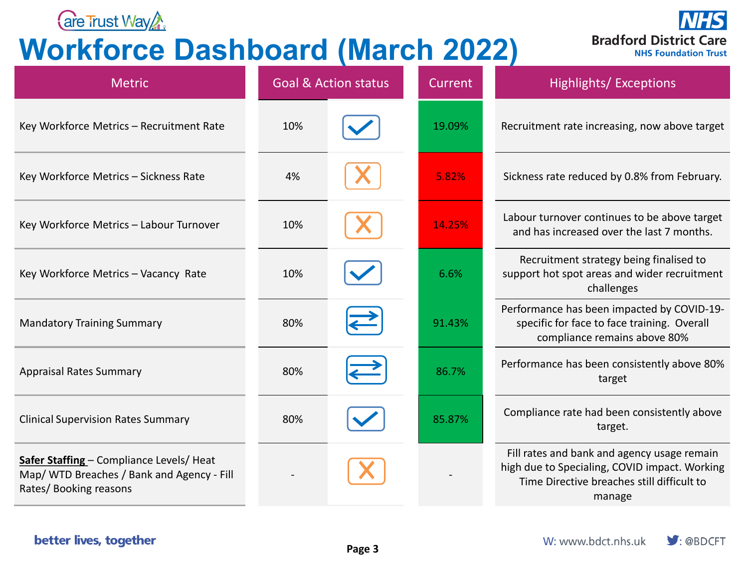

### **Workforce Dashboard (March 2022)**



| <b>Metric</b>                                                                                                          |     | <b>Goal &amp; Action status</b> | Current | Highlights/Exceptions                                                                                                                                |
|------------------------------------------------------------------------------------------------------------------------|-----|---------------------------------|---------|------------------------------------------------------------------------------------------------------------------------------------------------------|
| Key Workforce Metrics - Recruitment Rate                                                                               | 10% |                                 | 19.09%  | Recruitment rate increasing, now above target                                                                                                        |
| Key Workforce Metrics - Sickness Rate                                                                                  | 4%  |                                 | 5.82%   | Sickness rate reduced by 0.8% from February.                                                                                                         |
| Key Workforce Metrics - Labour Turnover                                                                                | 10% |                                 | 14.25%  | Labour turnover continues to be above target<br>and has increased over the last 7 months.                                                            |
| Key Workforce Metrics - Vacancy Rate                                                                                   | 10% |                                 | 6.6%    | Recruitment strategy being finalised to<br>support hot spot areas and wider recruitment<br>challenges                                                |
| <b>Mandatory Training Summary</b>                                                                                      | 80% |                                 | 91.43%  | Performance has been impacted by COVID-19-<br>specific for face to face training. Overall<br>compliance remains above 80%                            |
| <b>Appraisal Rates Summary</b>                                                                                         | 80% |                                 | 86.7%   | Performance has been consistently above 80%<br>target                                                                                                |
| <b>Clinical Supervision Rates Summary</b>                                                                              | 80% |                                 | 85.87%  | Compliance rate had been consistently above<br>target.                                                                                               |
| <b>Safer Staffing</b> – Compliance Levels/ Heat<br>Map/ WTD Breaches / Bank and Agency - Fill<br>Rates/Booking reasons |     |                                 |         | Fill rates and bank and agency usage remain<br>high due to Specialing, COVID impact. Working<br>Time Directive breaches still difficult to<br>manage |

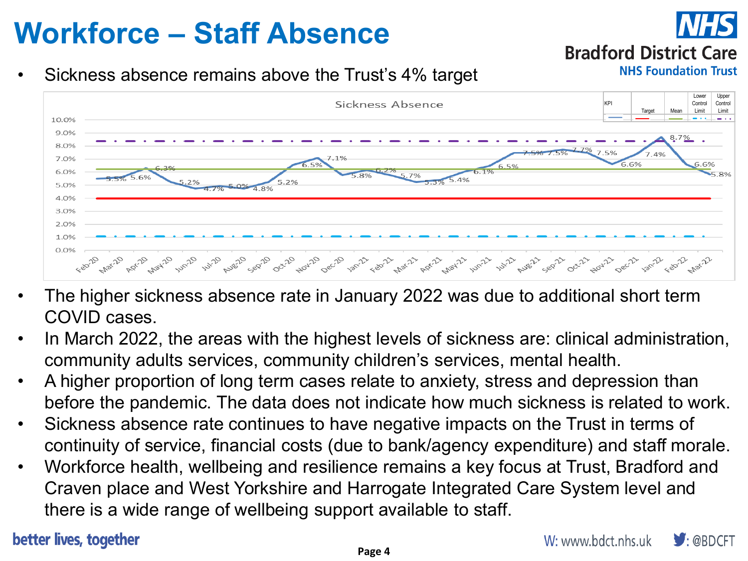## **Workforce – Staff Absence**

### **Bradford District Care**

**NHS Foundation Trust** 

### Sickness absence remains above the Trust's 4% target



- The higher sickness absence rate in January 2022 was due to additional short term COVID cases.
- In March 2022, the areas with the highest levels of sickness are: clinical administration, community adults services, community children's services, mental health.
- A higher proportion of long term cases relate to anxiety, stress and depression than before the pandemic. The data does not indicate how much sickness is related to work.
- Sickness absence rate continues to have negative impacts on the Trust in terms of continuity of service, financial costs (due to bank/agency expenditure) and staff morale.
- Workforce health, wellbeing and resilience remains a key focus at Trust, Bradford and Craven place and West Yorkshire and Harrogate Integrated Care System level and there is a wide range of wellbeing support available to staff.

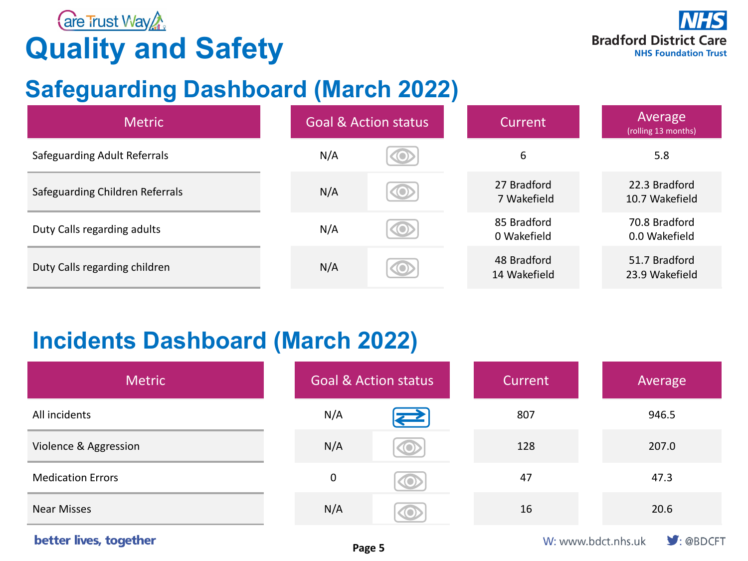

## **Quality and Safety**

### **Safeguarding Dashboard (March 2022)**

| <b>Metric</b>                       |     | <b>Goal &amp; Action status</b> | Current                     | Average<br>(rolling 13 months)  |
|-------------------------------------|-----|---------------------------------|-----------------------------|---------------------------------|
| <b>Safeguarding Adult Referrals</b> | N/A | <b>O</b>                        | 6                           | 5.8                             |
| Safeguarding Children Referrals     | N/A | <b>O</b>                        | 27 Bradford<br>7 Wakefield  | 22.3 Bradford<br>10.7 Wakefield |
| Duty Calls regarding adults         | N/A | <b>(O)</b>                      | 85 Bradford<br>0 Wakefield  | 70.8 Bradford<br>0.0 Wakefield  |
| Duty Calls regarding children       | N/A | (Q)                             | 48 Bradford<br>14 Wakefield | 51.7 Bradford<br>23.9 Wakefield |

### **Incidents Dashboard (March 2022)**

| <b>Metric</b>            |             | <b>Goal &amp; Action status</b> | <b>Current</b> | Average |
|--------------------------|-------------|---------------------------------|----------------|---------|
| All incidents            | N/A         | $\sum$                          | 807            | 946.5   |
| Violence & Aggression    | N/A         | <b>(O)</b>                      | 128            | 207.0   |
| <b>Medication Errors</b> | $\mathbf 0$ | O                               | 47             | 47.3    |
| <b>Near Misses</b>       | N/A         | O                               | 16             | 20.6    |

#### better lives, together

 $\blacktriangleright$  : @BDCFT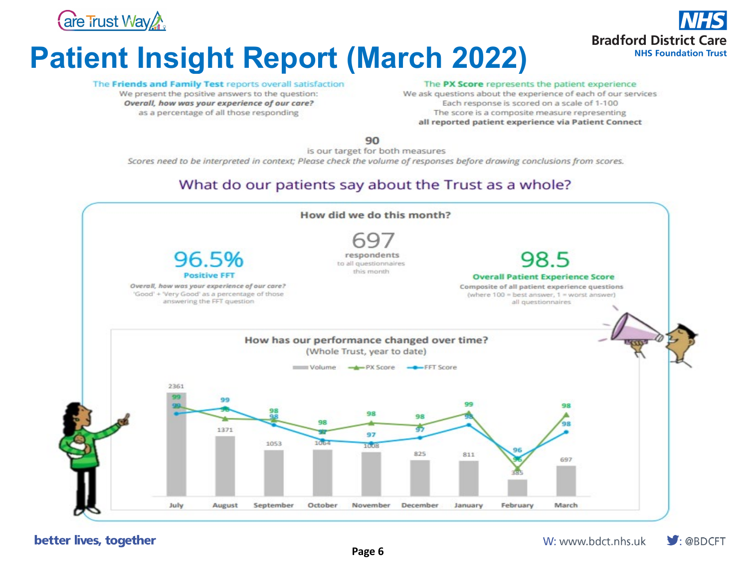

## **Patient Insight Report (March 2022)**



#### The Friends and Family Test reports overall satisfaction

We present the positive answers to the question: Overall, how was your experience of our care? as a percentage of all those responding

#### The PX Score represents the patient experience

We ask questions about the experience of each of our services Each response is scored on a scale of 1-100 The score is a composite measure representing all reported patient experience via Patient Connect

90

is our target for both measures

Scores need to be interpreted in context; Please check the volume of responses before drawing conclusions from scores.

#### What do our patients say about the Trust as a whole?



 $\Box$ : @BDCFT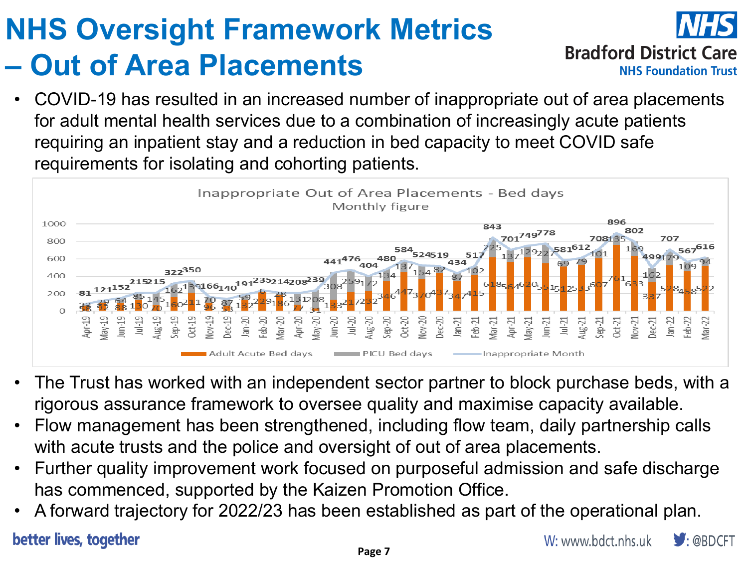# **NHS Oversight Framework Metrics – Out of Area Placements**



• COVID-19 has resulted in an increased number of inappropriate out of area placements for adult mental health services due to a combination of increasingly acute patients requiring an inpatient stay and a reduction in bed capacity to meet COVID safe requirements for isolating and cohorting patients.



- The Trust has worked with an independent sector partner to block purchase beds, with a rigorous assurance framework to oversee quality and maximise capacity available.
- Flow management has been strengthened, including flow team, daily partnership calls with acute trusts and the police and oversight of out of area placements.
- Further quality improvement work focused on purposeful admission and safe discharge has commenced, supported by the Kaizen Promotion Office.
- A forward trajectory for 2022/23 has been established as part of the operational plan.

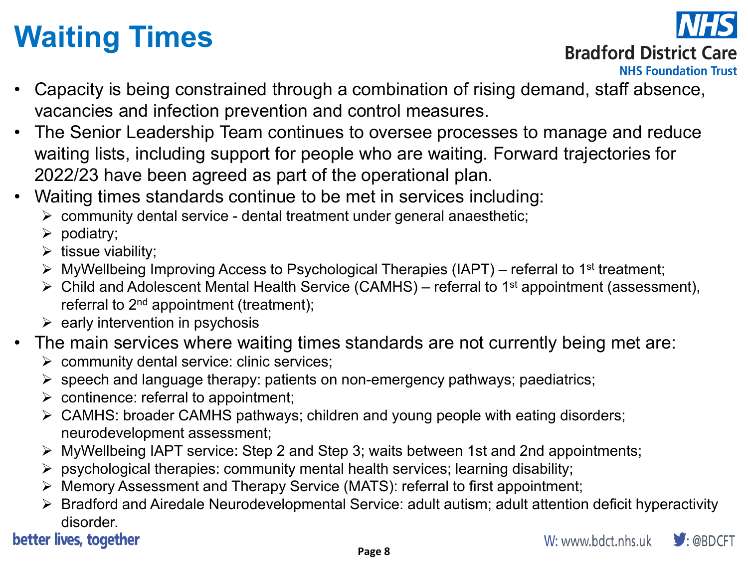# **Waiting Times**



### **Bradford District Care**

**NHS Foundation Trust** 

- Capacity is being constrained through a combination of rising demand, staff absence, vacancies and infection prevention and control measures.
- The Senior Leadership Team continues to oversee processes to manage and reduce waiting lists, including support for people who are waiting. Forward trajectories for 2022/23 have been agreed as part of the operational plan.
- Waiting times standards continue to be met in services including:
	- $\triangleright$  community dental service dental treatment under general anaesthetic;
	- $\triangleright$  podiatry;
	- $\triangleright$  tissue viability;
	- $\triangleright$  MyWellbeing Improving Access to Psychological Therapies (IAPT) referral to 1<sup>st</sup> treatment;
	- $\triangleright$  Child and Adolescent Mental Health Service (CAMHS) referral to 1<sup>st</sup> appointment (assessment), referral to 2<sup>nd</sup> appointment (treatment);
	- $\triangleright$  early intervention in psychosis
- The main services where waiting times standards are not currently being met are:
	- community dental service: clinic services;
	- $\triangleright$  speech and language therapy: patients on non-emergency pathways; paediatrics;
	- $\triangleright$  continence: referral to appointment;
	- CAMHS: broader CAMHS pathways; children and young people with eating disorders; neurodevelopment assessment;
	- MyWellbeing IAPT service: Step 2 and Step 3; waits between 1st and 2nd appointments;
	- $\triangleright$  psychological therapies: community mental health services; learning disability;
	- Memory Assessment and Therapy Service (MATS): referral to first appointment;
	- Bradford and Airedale Neurodevelopmental Service: adult autism; adult attention deficit hyperactivity disorder.